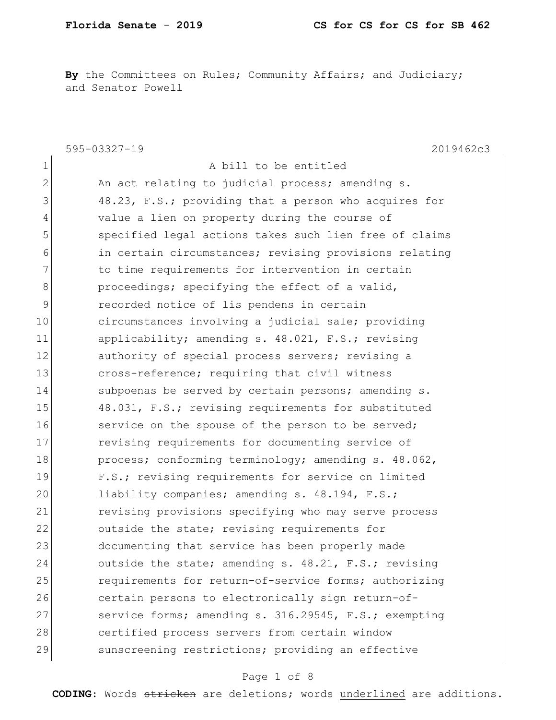By the Committees on Rules; Community Affairs; and Judiciary; and Senator Powell

|                | 595-03327-19<br>2019462c3                              |
|----------------|--------------------------------------------------------|
| 1              | A bill to be entitled                                  |
| $\mathbf{2}$   | An act relating to judicial process; amending s.       |
| 3              | 48.23, F.S.; providing that a person who acquires for  |
| $\overline{4}$ | value a lien on property during the course of          |
| 5              | specified legal actions takes such lien free of claims |
| 6              | in certain circumstances; revising provisions relating |
| 7              | to time requirements for intervention in certain       |
| 8              | proceedings; specifying the effect of a valid,         |
| 9              | recorded notice of lis pendens in certain              |
| 10             | circumstances involving a judicial sale; providing     |
| 11             | applicability; amending s. 48.021, F.S.; revising      |
| 12             | authority of special process servers; revising a       |
| 13             | cross-reference; requiring that civil witness          |
| 14             | subpoenas be served by certain persons; amending s.    |
| 15             | 48.031, F.S.; revising requirements for substituted    |
| 16             | service on the spouse of the person to be served;      |
| 17             | revising requirements for documenting service of       |
| 18             | process; conforming terminology; amending s. 48.062,   |
| 19             | F.S.; revising requirements for service on limited     |
| 20             | liability companies; amending s. 48.194, F.S.;         |
| 21             | revising provisions specifying who may serve process   |
| 22             | outside the state; revising requirements for           |
| 23             | documenting that service has been properly made        |
| 24             | outside the state; amending s. 48.21, F.S.; revising   |
| 25             | requirements for return-of-service forms; authorizing  |
| 26             | certain persons to electronically sign return-of-      |
| 27             | service forms; amending s. 316.29545, F.S.; exempting  |
| 28             | certified process servers from certain window          |
| 29             | sunscreening restrictions; providing an effective      |

# Page 1 of 8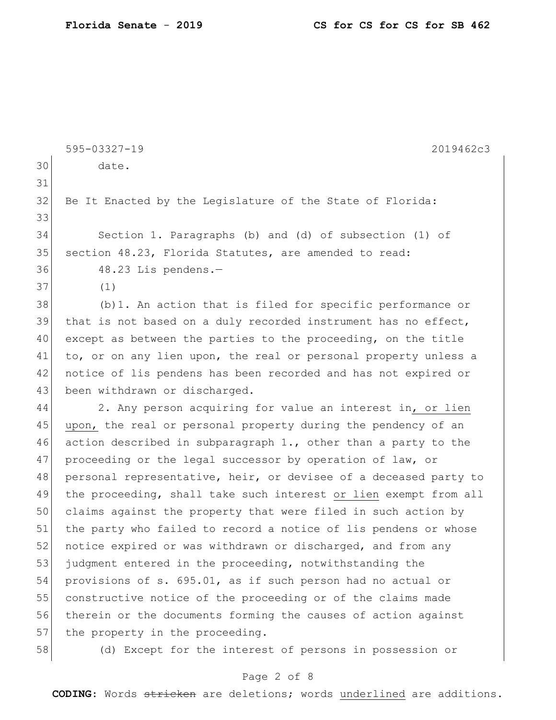|    | 595-03327-19<br>2019462c3                                        |
|----|------------------------------------------------------------------|
| 30 | date.                                                            |
| 31 |                                                                  |
| 32 | Be It Enacted by the Legislature of the State of Florida:        |
| 33 |                                                                  |
| 34 | Section 1. Paragraphs (b) and (d) of subsection (1) of           |
| 35 | section 48.23, Florida Statutes, are amended to read:            |
| 36 | 48.23 Lis pendens.-                                              |
| 37 | (1)                                                              |
| 38 | (b) 1. An action that is filed for specific performance or       |
| 39 | that is not based on a duly recorded instrument has no effect,   |
| 40 | except as between the parties to the proceeding, on the title    |
| 41 | to, or on any lien upon, the real or personal property unless a  |
| 42 | notice of lis pendens has been recorded and has not expired or   |
| 43 | been withdrawn or discharged.                                    |
| 44 | 2. Any person acquiring for value an interest in, or lien        |
| 45 | upon, the real or personal property during the pendency of an    |
| 46 | action described in subparagraph 1., other than a party to the   |
| 47 | proceeding or the legal successor by operation of law, or        |
| 48 | personal representative, heir, or devisee of a deceased party to |
| 49 | the proceeding, shall take such interest or lien exempt from all |
| 50 | claims against the property that were filed in such action by    |
| 51 | the party who failed to record a notice of lis pendens or whose  |
| 52 | notice expired or was withdrawn or discharged, and from any      |
| 53 | judgment entered in the proceeding, notwithstanding the          |
| 54 | provisions of s. 695.01, as if such person had no actual or      |
| 55 | constructive notice of the proceeding or of the claims made      |
| 56 | therein or the documents forming the causes of action against    |
| 57 | the property in the proceeding.                                  |
| 58 | (d) Except for the interest of persons in possession or          |

# Page 2 of 8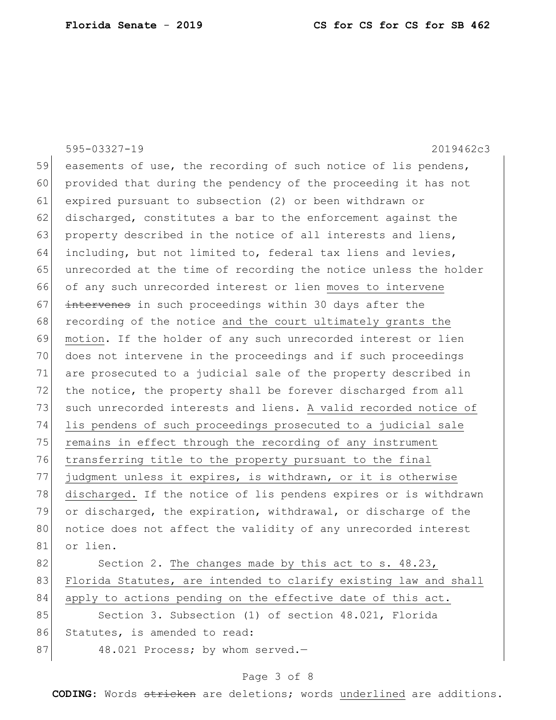595-03327-19 2019462c3 59 easements of use, the recording of such notice of lis pendens, 60 provided that during the pendency of the proceeding it has not 61 expired pursuant to subsection (2) or been withdrawn or 62 discharged, constitutes a bar to the enforcement against the 63 property described in the notice of all interests and liens, 64 including, but not limited to, federal tax liens and levies, 65 unrecorded at the time of recording the notice unless the holder 66 of any such unrecorded interest or lien moves to intervene 67 intervenes in such proceedings within 30 days after the 68 recording of the notice and the court ultimately grants the 69 motion. If the holder of any such unrecorded interest or lien 70 does not intervene in the proceedings and if such proceedings 71 are prosecuted to a judicial sale of the property described in 72 the notice, the property shall be forever discharged from all 73 such unrecorded interests and liens. A valid recorded notice of 74 lis pendens of such proceedings prosecuted to a judicial sale 75 remains in effect through the recording of any instrument 76 transferring title to the property pursuant to the final 77 judgment unless it expires, is withdrawn, or it is otherwise 78 discharged. If the notice of lis pendens expires or is withdrawn 79 or discharged, the expiration, withdrawal, or discharge of the 80 | notice does not affect the validity of any unrecorded interest 81 or lien. 82 Section 2. The changes made by this act to s. 48.23, 83 Florida Statutes, are intended to clarify existing law and shall 84 apply to actions pending on the effective date of this act. 85 Section 3. Subsection (1) of section 48.021, Florida 86 Statutes, is amended to read: 87 48.021 Process; by whom served.

# Page 3 of 8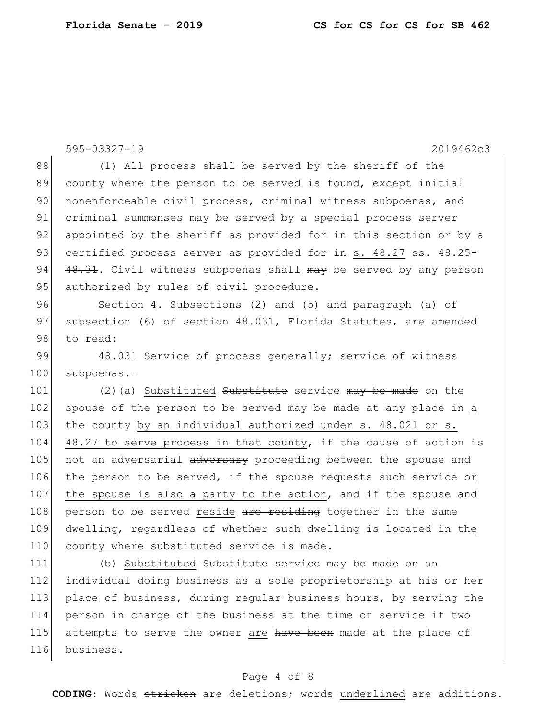595-03327-19 2019462c3 88 (1) All process shall be served by the sheriff of the 89 county where the person to be served is found, except initial 90 nonenforceable civil process, criminal witness subpoenas, and 91 criminal summonses may be served by a special process server 92 appointed by the sheriff as provided  $f$ or in this section or by a 93 certified process server as provided for in s. 48.27 ss. 48.25-94  $\left[48.31$ . Civil witness subpoenas shall may be served by any person 95 authorized by rules of civil procedure. 96 Section 4. Subsections (2) and (5) and paragraph (a) of 97 subsection (6) of section 48.031, Florida Statutes, are amended 98 to read: 99 48.031 Service of process generally; service of witness 100 subpoenas.-101 (2)(a) Substituted Substitute service may be made on the 102 spouse of the person to be served may be made at any place in a 103  $\frac{103}{103}$  the county by an individual authorized under s. 48.021 or s. 104 48.27 to serve process in that county, if the cause of action is 105 not an adversarial adversary proceeding between the spouse and 106 the person to be served, if the spouse requests such service or 107 | the spouse is also a party to the action, and if the spouse and 108 person to be served reside are residing together in the same 109 dwelling, regardless of whether such dwelling is located in the 110 county where substituted service is made. 111 (b) Substituted Substitute service may be made on an 112 individual doing business as a sole proprietorship at his or her 113 place of business, during regular business hours, by serving the 114 person in charge of the business at the time of service if two 115 attempts to serve the owner are have been made at the place of 116 business.

#### Page 4 of 8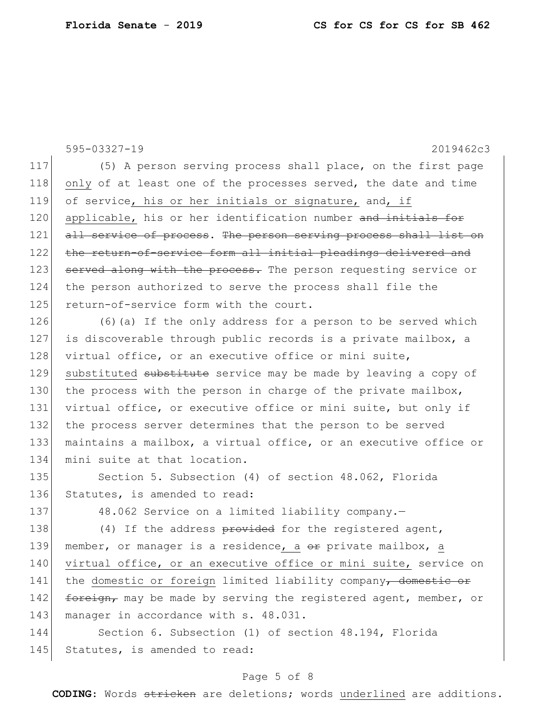595-03327-19 2019462c3 117 (5) A person serving process shall place, on the first page 118 only of at least one of the processes served, the date and time 119 of service, his or her initials or signature, and, if 120 applicable, his or her identification number and initials for 121 all service of process. The person serving process shall list on 122 the return-of-service form all initial pleadings delivered and 123 served along with the process. The person requesting service or 124 the person authorized to serve the process shall file the 125 return-of-service form with the court. 126 (6) (a) If the only address for a person to be served which 127 is discoverable through public records is a private mailbox, a 128 virtual office, or an executive office or mini suite, 129 substituted substitute service may be made by leaving a copy of 130 the process with the person in charge of the private mailbox, 131 virtual office, or executive office or mini suite, but only if 132 the process server determines that the person to be served 133 maintains a mailbox, a virtual office, or an executive office or 134 mini suite at that location. 135 Section 5. Subsection (4) of section 48.062, Florida 136 Statutes, is amended to read: 137 48.062 Service on a limited liability company. 138 (4) If the address provided for the registered agent, 139 member, or manager is a residence, a  $\Theta$ r private mailbox, a 140 virtual office, or an executive office or mini suite, service on 141 the domestic or foreign limited liability company, domestic or 142 foreign, may be made by serving the registered agent, member, or 143 manager in accordance with s. 48.031. 144 Section 6. Subsection (1) of section 48.194, Florida 145 Statutes, is amended to read:

#### Page 5 of 8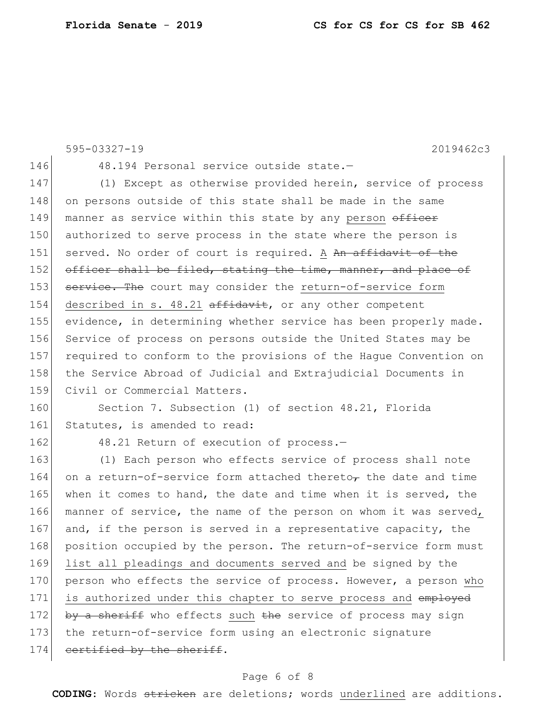595-03327-19 2019462c3 146 48.194 Personal service outside state.-147 (1) Except as otherwise provided herein, service of process 148 on persons outside of this state shall be made in the same 149 manner as service within this state by any person officer 150 authorized to serve process in the state where the person is 151 served. No order of court is required. A An affidavit of the 152 officer shall be filed, stating the time, manner, and place of 153 service. The court may consider the return-of-service form 154 described in s.  $48.21$  affidavit, or any other competent 155 evidence, in determining whether service has been properly made. 156 Service of process on persons outside the United States may be 157 required to conform to the provisions of the Haque Convention on 158 the Service Abroad of Judicial and Extrajudicial Documents in 159 Civil or Commercial Matters. 160 Section 7. Subsection (1) of section 48.21, Florida 161 Statutes, is amended to read: 162 48.21 Return of execution of process.-163 (1) Each person who effects service of process shall note 164 on a return-of-service form attached thereto<sub>r</sub> the date and time 165 when it comes to hand, the date and time when it is served, the 166 manner of service, the name of the person on whom it was served, 167 and, if the person is served in a representative capacity, the 168 position occupied by the person. The return-of-service form must 169 list all pleadings and documents served and be signed by the 170 person who effects the service of process. However, a person who 171 is authorized under this chapter to serve process and employed 172 by a sheriff who effects such the service of process may sign 173 the return-of-service form using an electronic signature 174 certified by the sheriff.

# Page 6 of 8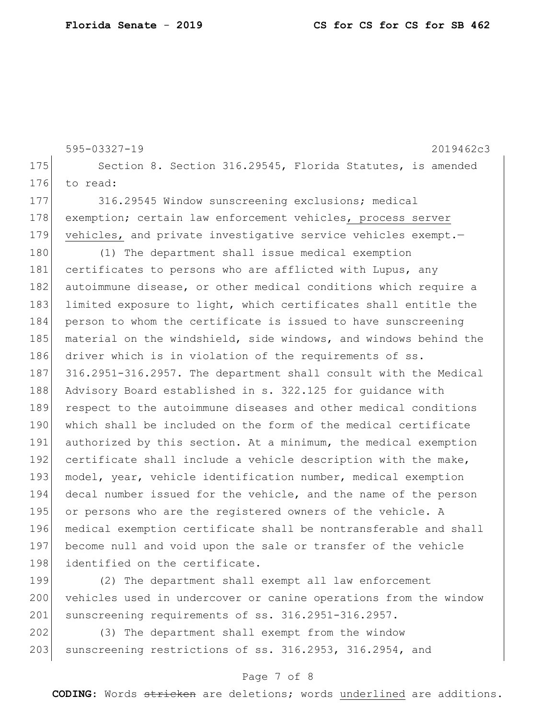595-03327-19 2019462c3 175 Section 8. Section 316.29545, Florida Statutes, is amended 176 to read: 177 316.29545 Window sunscreening exclusions; medical 178 exemption; certain law enforcement vehicles, process server 179 vehicles, and private investigative service vehicles exempt. 180 (1) The department shall issue medical exemption 181 certificates to persons who are afflicted with Lupus, any 182 autoimmune disease, or other medical conditions which require a 183 limited exposure to light, which certificates shall entitle the 184 person to whom the certificate is issued to have sunscreening 185 material on the windshield, side windows, and windows behind the 186 driver which is in violation of the requirements of ss. 187 316.2951-316.2957. The department shall consult with the Medical 188 Advisory Board established in s. 322.125 for quidance with 189 respect to the autoimmune diseases and other medical conditions 190 which shall be included on the form of the medical certificate 191 authorized by this section. At a minimum, the medical exemption 192 certificate shall include a vehicle description with the make, 193 model, year, vehicle identification number, medical exemption 194 decal number issued for the vehicle, and the name of the person 195 or persons who are the registered owners of the vehicle. A 196 medical exemption certificate shall be nontransferable and shall 197 become null and void upon the sale or transfer of the vehicle 198 identified on the certificate.

199 (2) The department shall exempt all law enforcement 200 vehicles used in undercover or canine operations from the window 201 sunscreening requirements of ss. 316.2951-316.2957.

202 (3) The department shall exempt from the window 203 sunscreening restrictions of ss. 316.2953, 316.2954, and

# Page 7 of 8